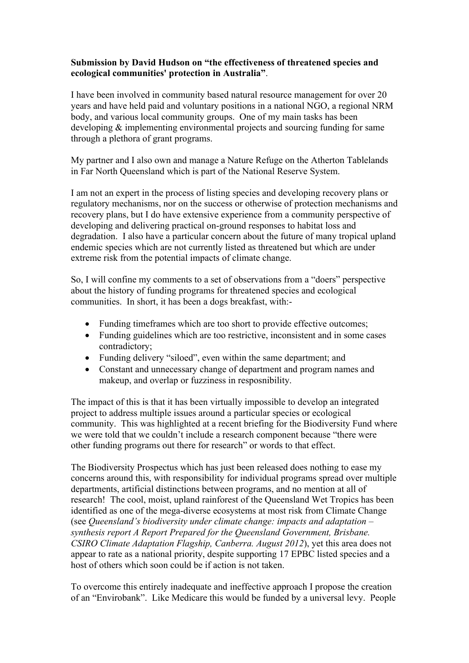## **Submission by David Hudson on "the effectiveness of threatened species and ecological communities' protection in Australia"**.

I have been involved in community based natural resource management for over 20 years and have held paid and voluntary positions in a national NGO, a regional NRM body, and various local community groups. One of my main tasks has been developing & implementing environmental projects and sourcing funding for same through a plethora of grant programs.

My partner and I also own and manage a Nature Refuge on the Atherton Tablelands in Far North Queensland which is part of the National Reserve System.

I am not an expert in the process of listing species and developing recovery plans or regulatory mechanisms, nor on the success or otherwise of protection mechanisms and recovery plans, but I do have extensive experience from a community perspective of developing and delivering practical on-ground responses to habitat loss and degradation. I also have a particular concern about the future of many tropical upland endemic species which are not currently listed as threatened but which are under extreme risk from the potential impacts of climate change.

So, I will confine my comments to a set of observations from a "doers" perspective about the history of funding programs for threatened species and ecological communities. In short, it has been a dogs breakfast, with:-

- Funding timeframes which are too short to provide effective outcomes;
- Funding guidelines which are too restrictive, inconsistent and in some cases contradictory;
- Funding delivery "siloed", even within the same department; and
- Constant and unnecessary change of department and program names and makeup, and overlap or fuzziness in resposnibility.

The impact of this is that it has been virtually impossible to develop an integrated project to address multiple issues around a particular species or ecological community. This was highlighted at a recent briefing for the Biodiversity Fund where we were told that we couldn't include a research component because "there were other funding programs out there for research" or words to that effect.

The Biodiversity Prospectus which has just been released does nothing to ease my concerns around this, with responsibility for individual programs spread over multiple departments, artificial distinctions between programs, and no mention at all of research! The cool, moist, upland rainforest of the Queensland Wet Tropics has been identified as one of the mega-diverse ecosystems at most risk from Climate Change (see *Queensland's biodiversity under climate change: impacts and adaptation – synthesis report A Report Prepared for the Queensland Government, Brisbane. CSIRO Climate Adaptation Flagship, Canberra. August 2012*), yet this area does not appear to rate as a national priority, despite supporting 17 EPBC listed species and a host of others which soon could be if action is not taken.

To overcome this entirely inadequate and ineffective approach I propose the creation of an "Envirobank". Like Medicare this would be funded by a universal levy. People